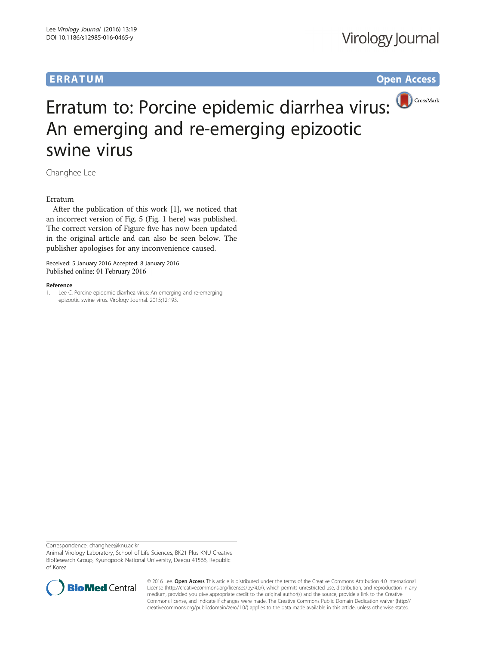## ERRA TUM Op[en](http://crossmark.crossref.org/dialog/?doi=10.1186/s12985-016-0465-y&domain=pdf) [Access](http://crossmark.crossref.org/dialog/?doi=10.1186/s12985-016-0465-y&domain=pdf)

# Erratum to: Porcine epidemic diarrhea virus: An emerging and re-emerging epizootic swine virus

Changhee Lee

### Erratum

After the publication of this work [1], we noticed that an incorrect version of Fig. [5](#page-1-0) (Fig. 1 here) was published. The correct version of Figure five has now been updated in the original article and can also be seen below. The publisher apologises for any inconvenience caused.

Received: 5 January 2016 Accepted: 8 January 2016 Published online: 01 February 2016

### Reference

1. Lee C. Porcine epidemic diarrhea virus: An emerging and re-emerging epizootic swine virus. Virology Journal. 2015;12:193.

Correspondence: [changhee@knu.ac.kr](mailto:changhee@knu.ac.kr)

Animal Virology Laboratory, School of Life Sciences, BK21 Plus KNU Creative BioResearch Group, Kyungpook National University, Daegu 41566, Republic of Korea



© 2016 Lee. Open Access This article is distributed under the terms of the Creative Commons Attribution 4.0 International License ([http://creativecommons.org/licenses/by/4.0/\)](http://creativecommons.org/licenses/by/4.0/), which permits unrestricted use, distribution, and reproduction in any medium, provided you give appropriate credit to the original author(s) and the source, provide a link to the Creative Commons license, and indicate if changes were made. The Creative Commons Public Domain Dedication waiver ([http://](http://creativecommons.org/publicdomain/zero/1.0/) [creativecommons.org/publicdomain/zero/1.0/\)](http://creativecommons.org/publicdomain/zero/1.0/) applies to the data made available in this article, unless otherwise stated.